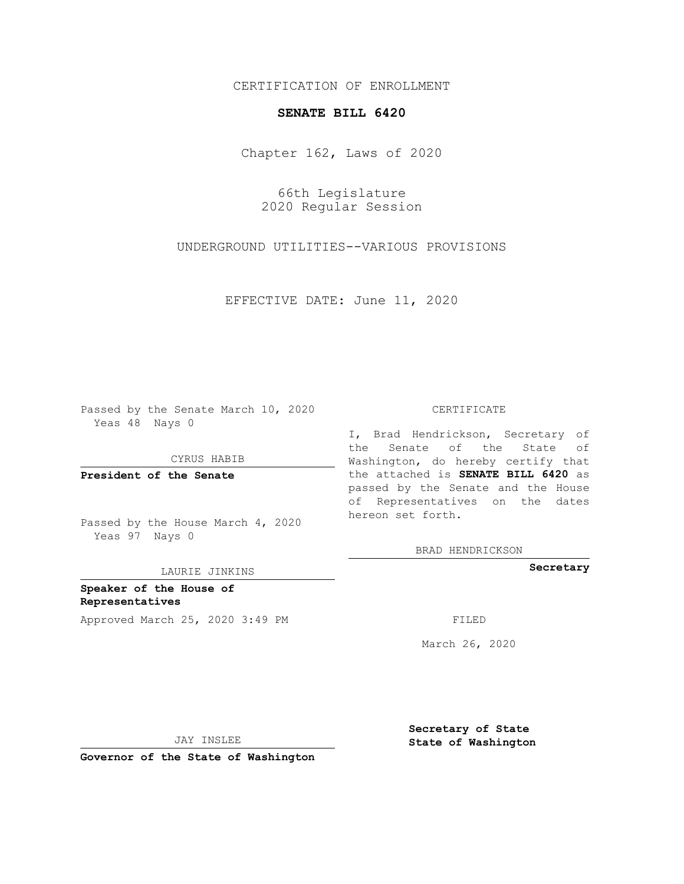## CERTIFICATION OF ENROLLMENT

## **SENATE BILL 6420**

Chapter 162, Laws of 2020

66th Legislature 2020 Regular Session

UNDERGROUND UTILITIES--VARIOUS PROVISIONS

EFFECTIVE DATE: June 11, 2020

Passed by the Senate March 10, 2020 Yeas 48 Nays 0

CYRUS HABIB

**President of the Senate**

Passed by the House March 4, 2020 Yeas 97 Nays 0

LAURIE JINKINS

**Speaker of the House of Representatives** Approved March 25, 2020 3:49 PM

#### CERTIFICATE

I, Brad Hendrickson, Secretary of the Senate of the State of Washington, do hereby certify that the attached is **SENATE BILL 6420** as passed by the Senate and the House of Representatives on the dates hereon set forth.

BRAD HENDRICKSON

**Secretary**

March 26, 2020

JAY INSLEE

**Governor of the State of Washington**

**Secretary of State State of Washington**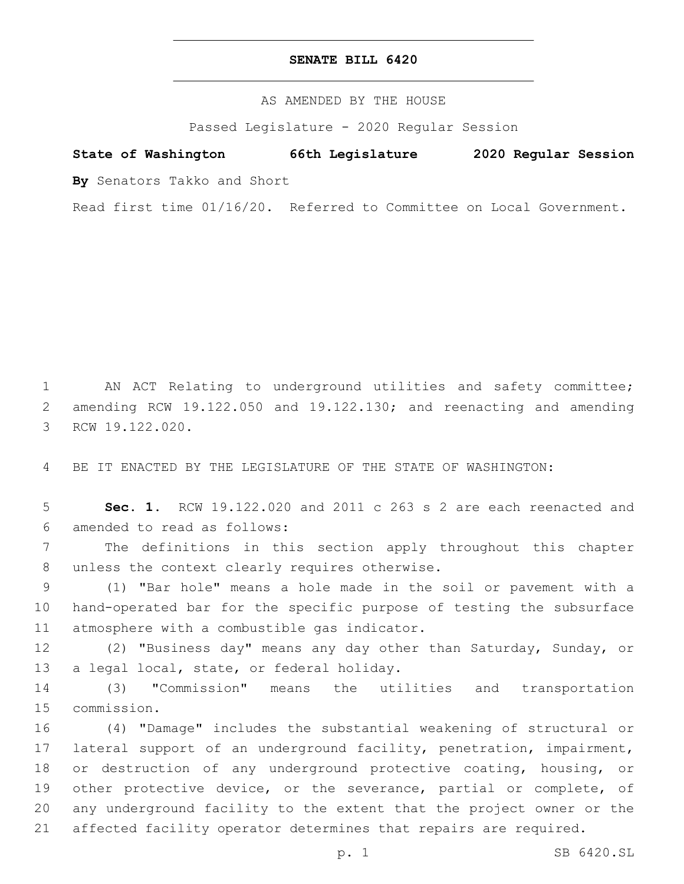## **SENATE BILL 6420**

AS AMENDED BY THE HOUSE

Passed Legislature - 2020 Regular Session

# **State of Washington 66th Legislature 2020 Regular Session**

**By** Senators Takko and Short

Read first time 01/16/20. Referred to Committee on Local Government.

1 AN ACT Relating to underground utilities and safety committee; 2 amending RCW 19.122.050 and 19.122.130; and reenacting and amending 3 RCW 19.122.020.

4 BE IT ENACTED BY THE LEGISLATURE OF THE STATE OF WASHINGTON:

5 **Sec. 1.** RCW 19.122.020 and 2011 c 263 s 2 are each reenacted and amended to read as follows:6

7 The definitions in this section apply throughout this chapter 8 unless the context clearly requires otherwise.

9 (1) "Bar hole" means a hole made in the soil or pavement with a 10 hand-operated bar for the specific purpose of testing the subsurface 11 atmosphere with a combustible gas indicator.

12 (2) "Business day" means any day other than Saturday, Sunday, or 13 a legal local, state, or federal holiday.

14 (3) "Commission" means the utilities and transportation 15 commission.

 (4) "Damage" includes the substantial weakening of structural or lateral support of an underground facility, penetration, impairment, or destruction of any underground protective coating, housing, or 19 other protective device, or the severance, partial or complete, of any underground facility to the extent that the project owner or the affected facility operator determines that repairs are required.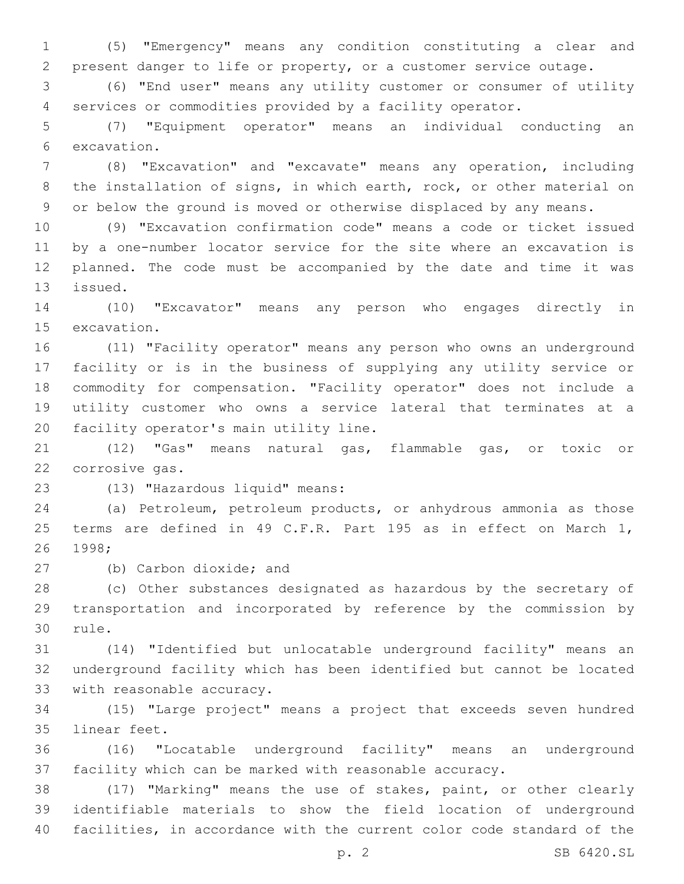(5) "Emergency" means any condition constituting a clear and present danger to life or property, or a customer service outage.

 (6) "End user" means any utility customer or consumer of utility services or commodities provided by a facility operator.

 (7) "Equipment operator" means an individual conducting an 6 excavation.

 (8) "Excavation" and "excavate" means any operation, including the installation of signs, in which earth, rock, or other material on or below the ground is moved or otherwise displaced by any means.

 (9) "Excavation confirmation code" means a code or ticket issued by a one-number locator service for the site where an excavation is planned. The code must be accompanied by the date and time it was 13 issued.

 (10) "Excavator" means any person who engages directly in 15 excavation.

 (11) "Facility operator" means any person who owns an underground facility or is in the business of supplying any utility service or commodity for compensation. "Facility operator" does not include a utility customer who owns a service lateral that terminates at a 20 facility operator's main utility line.

 (12) "Gas" means natural gas, flammable gas, or toxic or 22 corrosive gas.

(13) "Hazardous liquid" means:23

 (a) Petroleum, petroleum products, or anhydrous ammonia as those terms are defined in 49 C.F.R. Part 195 as in effect on March 1, 26 1998;

27 (b) Carbon dioxide; and

 (c) Other substances designated as hazardous by the secretary of transportation and incorporated by reference by the commission by 30 rule.

 (14) "Identified but unlocatable underground facility" means an underground facility which has been identified but cannot be located 33 with reasonable accuracy.

 (15) "Large project" means a project that exceeds seven hundred 35 linear feet.

 (16) "Locatable underground facility" means an underground facility which can be marked with reasonable accuracy.

 (17) "Marking" means the use of stakes, paint, or other clearly identifiable materials to show the field location of underground facilities, in accordance with the current color code standard of the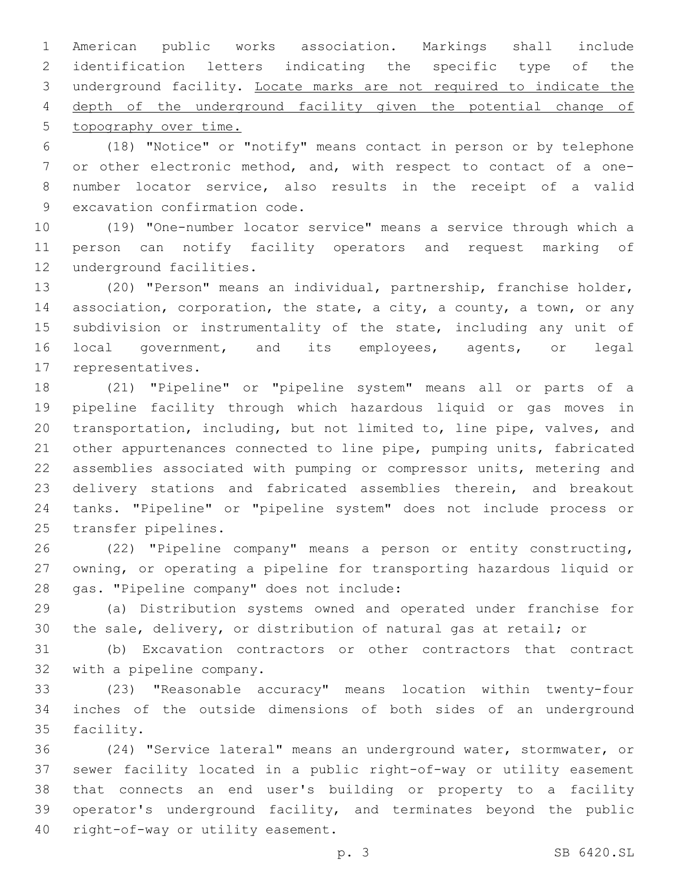American public works association. Markings shall include identification letters indicating the specific type of the underground facility. Locate marks are not required to indicate the depth of the underground facility given the potential change of topography over time.

 (18) "Notice" or "notify" means contact in person or by telephone or other electronic method, and, with respect to contact of a one- number locator service, also results in the receipt of a valid 9 excavation confirmation code.

 (19) "One-number locator service" means a service through which a person can notify facility operators and request marking of 12 underground facilities.

 (20) "Person" means an individual, partnership, franchise holder, association, corporation, the state, a city, a county, a town, or any subdivision or instrumentality of the state, including any unit of local government, and its employees, agents, or legal 17 representatives.

 (21) "Pipeline" or "pipeline system" means all or parts of a pipeline facility through which hazardous liquid or gas moves in transportation, including, but not limited to, line pipe, valves, and other appurtenances connected to line pipe, pumping units, fabricated assemblies associated with pumping or compressor units, metering and delivery stations and fabricated assemblies therein, and breakout tanks. "Pipeline" or "pipeline system" does not include process or 25 transfer pipelines.

 (22) "Pipeline company" means a person or entity constructing, owning, or operating a pipeline for transporting hazardous liquid or 28 gas. "Pipeline company" does not include:

 (a) Distribution systems owned and operated under franchise for the sale, delivery, or distribution of natural gas at retail; or

 (b) Excavation contractors or other contractors that contract 32 with a pipeline company.

 (23) "Reasonable accuracy" means location within twenty-four inches of the outside dimensions of both sides of an underground 35 facility.

 (24) "Service lateral" means an underground water, stormwater, or sewer facility located in a public right-of-way or utility easement that connects an end user's building or property to a facility operator's underground facility, and terminates beyond the public 40 right-of-way or utility easement.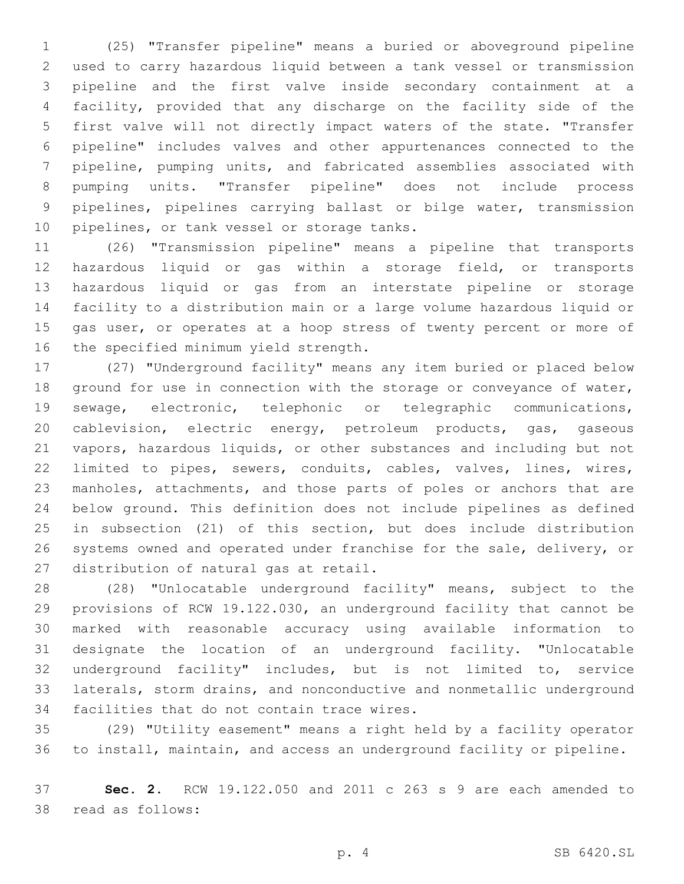(25) "Transfer pipeline" means a buried or aboveground pipeline used to carry hazardous liquid between a tank vessel or transmission pipeline and the first valve inside secondary containment at a facility, provided that any discharge on the facility side of the first valve will not directly impact waters of the state. "Transfer pipeline" includes valves and other appurtenances connected to the pipeline, pumping units, and fabricated assemblies associated with pumping units. "Transfer pipeline" does not include process pipelines, pipelines carrying ballast or bilge water, transmission 10 pipelines, or tank vessel or storage tanks.

 (26) "Transmission pipeline" means a pipeline that transports hazardous liquid or gas within a storage field, or transports hazardous liquid or gas from an interstate pipeline or storage facility to a distribution main or a large volume hazardous liquid or gas user, or operates at a hoop stress of twenty percent or more of 16 the specified minimum yield strength.

 (27) "Underground facility" means any item buried or placed below ground for use in connection with the storage or conveyance of water, sewage, electronic, telephonic or telegraphic communications, 20 cablevision, electric energy, petroleum products, gas, gaseous vapors, hazardous liquids, or other substances and including but not limited to pipes, sewers, conduits, cables, valves, lines, wires, manholes, attachments, and those parts of poles or anchors that are below ground. This definition does not include pipelines as defined in subsection (21) of this section, but does include distribution systems owned and operated under franchise for the sale, delivery, or 27 distribution of natural gas at retail.

 (28) "Unlocatable underground facility" means, subject to the provisions of RCW 19.122.030, an underground facility that cannot be marked with reasonable accuracy using available information to designate the location of an underground facility. "Unlocatable underground facility" includes, but is not limited to, service laterals, storm drains, and nonconductive and nonmetallic underground 34 facilities that do not contain trace wires.

 (29) "Utility easement" means a right held by a facility operator to install, maintain, and access an underground facility or pipeline.

 **Sec. 2.** RCW 19.122.050 and 2011 c 263 s 9 are each amended to 38 read as follows: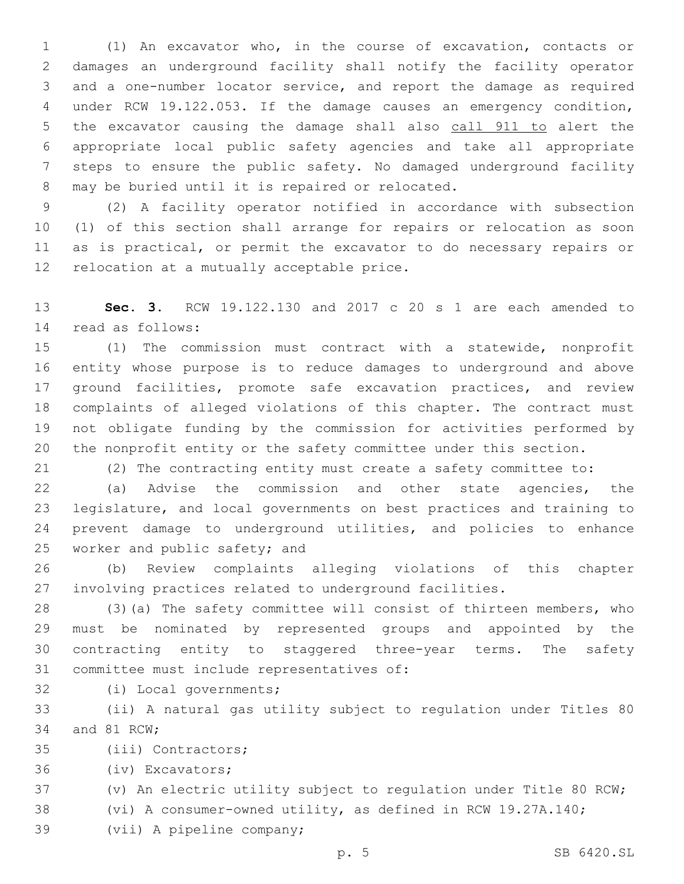(1) An excavator who, in the course of excavation, contacts or damages an underground facility shall notify the facility operator and a one-number locator service, and report the damage as required under RCW 19.122.053. If the damage causes an emergency condition, 5 the excavator causing the damage shall also call 911 to alert the appropriate local public safety agencies and take all appropriate steps to ensure the public safety. No damaged underground facility 8 may be buried until it is repaired or relocated.

 (2) A facility operator notified in accordance with subsection (1) of this section shall arrange for repairs or relocation as soon as is practical, or permit the excavator to do necessary repairs or 12 relocation at a mutually acceptable price.

 **Sec. 3.** RCW 19.122.130 and 2017 c 20 s 1 are each amended to read as follows:14

 (1) The commission must contract with a statewide, nonprofit entity whose purpose is to reduce damages to underground and above 17 ground facilities, promote safe excavation practices, and review complaints of alleged violations of this chapter. The contract must not obligate funding by the commission for activities performed by the nonprofit entity or the safety committee under this section.

(2) The contracting entity must create a safety committee to:

 (a) Advise the commission and other state agencies, the legislature, and local governments on best practices and training to prevent damage to underground utilities, and policies to enhance 25 worker and public safety; and

 (b) Review complaints alleging violations of this chapter involving practices related to underground facilities.

 (3)(a) The safety committee will consist of thirteen members, who must be nominated by represented groups and appointed by the contracting entity to staggered three-year terms. The safety 31 committee must include representatives of:

32 (i) Local governments;

 (ii) A natural gas utility subject to regulation under Titles 80 34 and 81 RCW;

35 (iii) Contractors;

36 (iv) Excavators;

(v) An electric utility subject to regulation under Title 80 RCW;

(vi) A consumer-owned utility, as defined in RCW 19.27A.140;

39 (vii) A pipeline company;